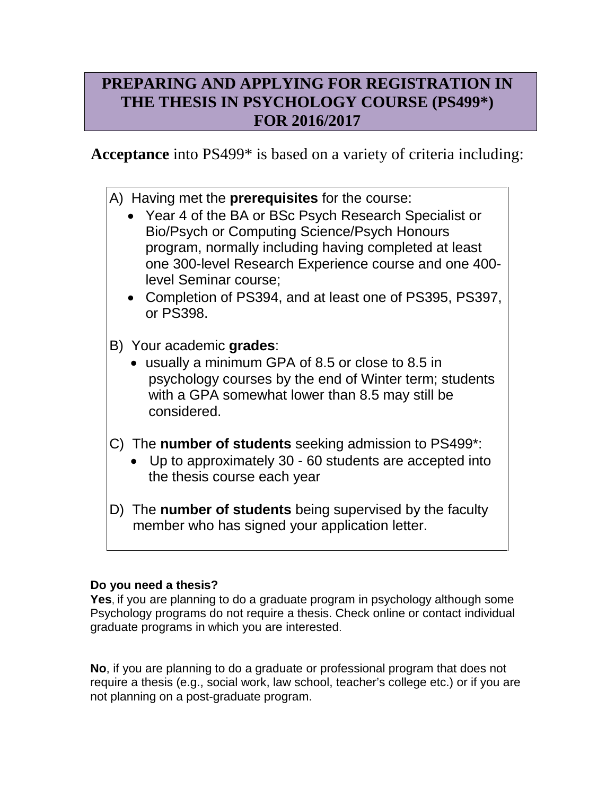# **PREPARING AND APPLYING FOR REGISTRATION IN THE THESIS IN PSYCHOLOGY COURSE (PS499\*) FOR 2016/2017**

**Acceptance** into PS499\* is based on a variety of criteria including:

- A) Having met the **prerequisites** for the course:
	- Year 4 of the BA or BSc Psych Research Specialist or Bio/Psych or Computing Science/Psych Honours program, normally including having completed at least one 300-level Research Experience course and one 400 level Seminar course;
	- Completion of PS394, and at least one of PS395, PS397, or PS398.
- B) Your academic **grades**:
	- usually a minimum GPA of 8.5 or close to 8.5 in psychology courses by the end of Winter term; students with a GPA somewhat lower than 8.5 may still be considered.
- C) The **number of students** seeking admission to PS499\*:
	- Up to approximately 30 60 students are accepted into the thesis course each year
- D) The **number of students** being supervised by the faculty member who has signed your application letter.

## **Do you need a thesis?**

**Yes**, if you are planning to do a graduate program in psychology although some Psychology programs do not require a thesis. Check online or contact individual graduate programs in which you are interested.

**No**, if you are planning to do a graduate or professional program that does not require a thesis (e.g., social work, law school, teacher's college etc.) or if you are not planning on a post-graduate program.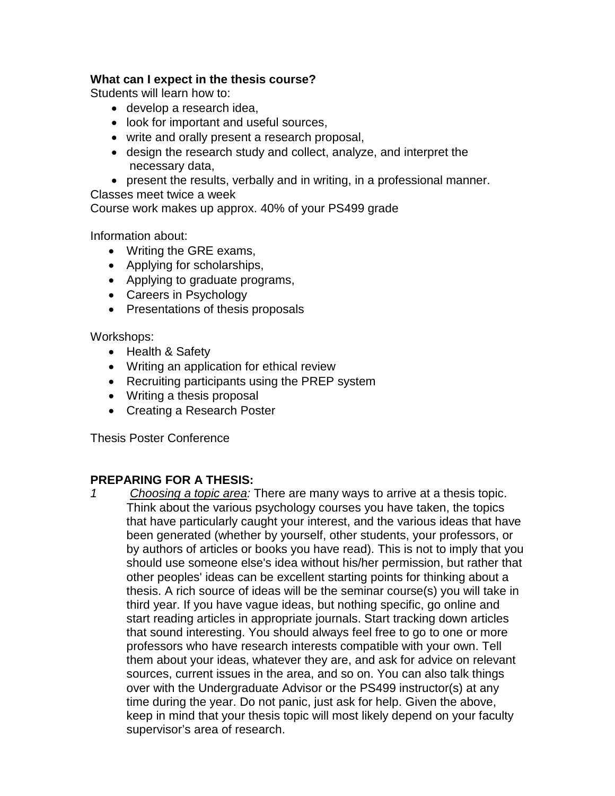### **What can I expect in the thesis course?**

Students will learn how to:

- develop a research idea,
- look for important and useful sources,
- write and orally present a research proposal,
- design the research study and collect, analyze, and interpret the necessary data,
- present the results, verbally and in writing, in a professional manner.

Classes meet twice a week

Course work makes up approx. 40% of your PS499 grade

Information about:

- Writing the GRE exams,
- Applying for scholarships,
- Applying to graduate programs,
- Careers in Psychology
- Presentations of thesis proposals

Workshops:

- Health & Safety
- Writing an application for ethical review
- Recruiting participants using the PREP system
- Writing a thesis proposal
- Creating a Research Poster

Thesis Poster Conference

### **PREPARING FOR A THESIS:**

*1 Choosing a topic area:* There are many ways to arrive at a thesis topic. Think about the various psychology courses you have taken, the topics that have particularly caught your interest, and the various ideas that have been generated (whether by yourself, other students, your professors, or by authors of articles or books you have read). This is not to imply that you should use someone else's idea without his/her permission, but rather that other peoples' ideas can be excellent starting points for thinking about a thesis. A rich source of ideas will be the seminar course(s) you will take in third year. If you have vague ideas, but nothing specific, go online and start reading articles in appropriate journals. Start tracking down articles that sound interesting. You should always feel free to go to one or more professors who have research interests compatible with your own. Tell them about your ideas, whatever they are, and ask for advice on relevant sources, current issues in the area, and so on. You can also talk things over with the Undergraduate Advisor or the PS499 instructor(s) at any time during the year. Do not panic, just ask for help. Given the above, keep in mind that your thesis topic will most likely depend on your faculty supervisor's area of research.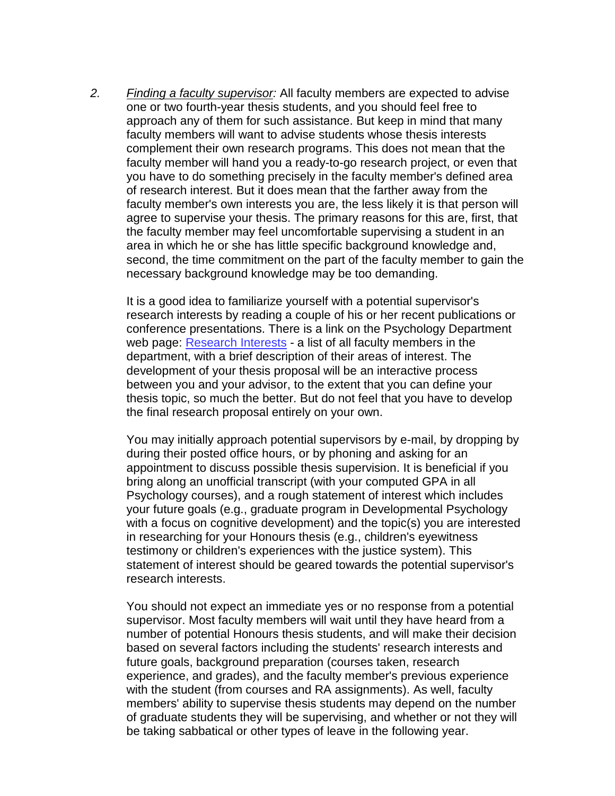*2. Finding a faculty supervisor:* All faculty members are expected to advise one or two fourth-year thesis students, and you should feel free to approach any of them for such assistance. But keep in mind that many faculty members will want to advise students whose thesis interests complement their own research programs. This does not mean that the faculty member will hand you a ready-to-go research project, or even that you have to do something precisely in the faculty member's defined area of research interest. But it does mean that the farther away from the faculty member's own interests you are, the less likely it is that person will agree to supervise your thesis. The primary reasons for this are, first, that the faculty member may feel uncomfortable supervising a student in an area in which he or she has little specific background knowledge and, second, the time commitment on the part of the faculty member to gain the necessary background knowledge may be too demanding.

It is a good idea to familiarize yourself with a potential supervisor's research interests by reading a couple of his or her recent publications or conference presentations. There is a link on the Psychology Department web page: [Research Interests](http://www.wlu.ca/docsnpubs_detail.php?grp_id=44&doc_id=43716) - a list of all faculty members in the department, with a brief description of their areas of interest. The development of your thesis proposal will be an interactive process between you and your advisor, to the extent that you can define your thesis topic, so much the better. But do not feel that you have to develop the final research proposal entirely on your own.

You may initially approach potential supervisors by e-mail, by dropping by during their posted office hours, or by phoning and asking for an appointment to discuss possible thesis supervision. It is beneficial if you bring along an unofficial transcript (with your computed GPA in all Psychology courses), and a rough statement of interest which includes your future goals (e.g., graduate program in Developmental Psychology with a focus on cognitive development) and the topic(s) you are interested in researching for your Honours thesis (e.g., children's eyewitness testimony or children's experiences with the justice system). This statement of interest should be geared towards the potential supervisor's research interests.

You should not expect an immediate yes or no response from a potential supervisor. Most faculty members will wait until they have heard from a number of potential Honours thesis students, and will make their decision based on several factors including the students' research interests and future goals, background preparation (courses taken, research experience, and grades), and the faculty member's previous experience with the student (from courses and RA assignments). As well, faculty members' ability to supervise thesis students may depend on the number of graduate students they will be supervising, and whether or not they will be taking sabbatical or other types of leave in the following year.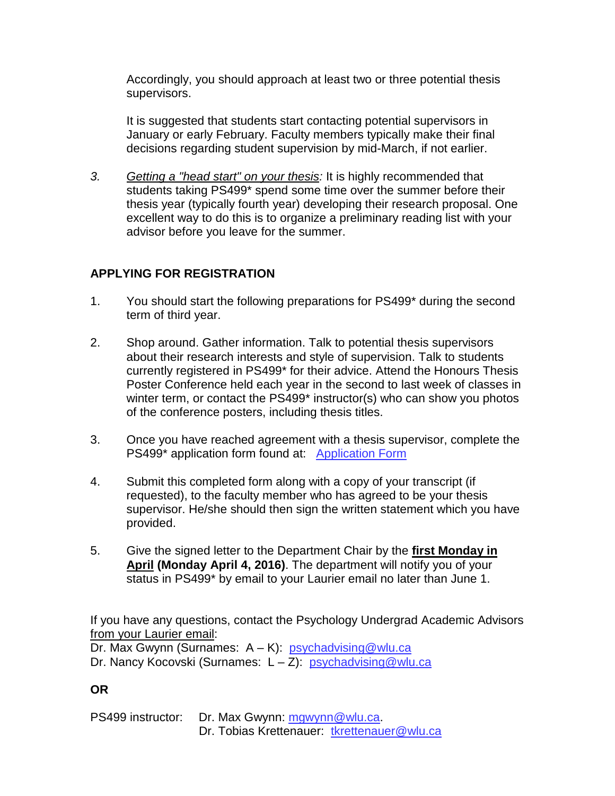Accordingly, you should approach at least two or three potential thesis supervisors.

It is suggested that students start contacting potential supervisors in January or early February. Faculty members typically make their final decisions regarding student supervision by mid-March, if not earlier.

*3. Getting a "head start" on your thesis:* It is highly recommended that students taking PS499\* spend some time over the summer before their thesis year (typically fourth year) developing their research proposal. One excellent way to do this is to organize a preliminary reading list with your advisor before you leave for the summer.

## **APPLYING FOR REGISTRATION**

- 1. You should start the following preparations for PS499\* during the second term of third year.
- 2. Shop around. Gather information. Talk to potential thesis supervisors about their research interests and style of supervision. Talk to students currently registered in PS499\* for their advice. Attend the Honours Thesis Poster Conference held each year in the second to last week of classes in winter term, or contact the PS499<sup>\*</sup> instructor(s) who can show you photos of the conference posters, including thesis titles.
- 3. Once you have reached agreement with a thesis supervisor, complete the PS499\* application form found at: [Application Form](http://www.wlu.ca/docsnpubs_detail.php?grp_id=44&doc_id=53632)
- 4. Submit this completed form along with a copy of your transcript (if requested), to the faculty member who has agreed to be your thesis supervisor. He/she should then sign the written statement which you have provided.
- 5. Give the signed letter to the Department Chair by the **first Monday in April (Monday April 4, 2016)**. The department will notify you of your status in PS499\* by email to your Laurier email no later than June 1.

If you have any questions, contact the Psychology Undergrad Academic Advisors from your Laurier email:

Dr. Max Gwynn (Surnames: A – K): [psychadvising@wlu.ca](mailto:psychadvising@wlu.ca) Dr. Nancy Kocovski (Surnames: L – Z): [psychadvising@wlu.ca](mailto:psychadvising@wlu.ca)

## **OR**

PS499 instructor: Dr. Max Gwynn: [mgwynn@wlu.ca.](mailto:mgwynn@wlu.ca) Dr. Tobias Krettenauer: [tkrettenauer@wlu.ca](mailto:tkrettenauer@wlu.ca)